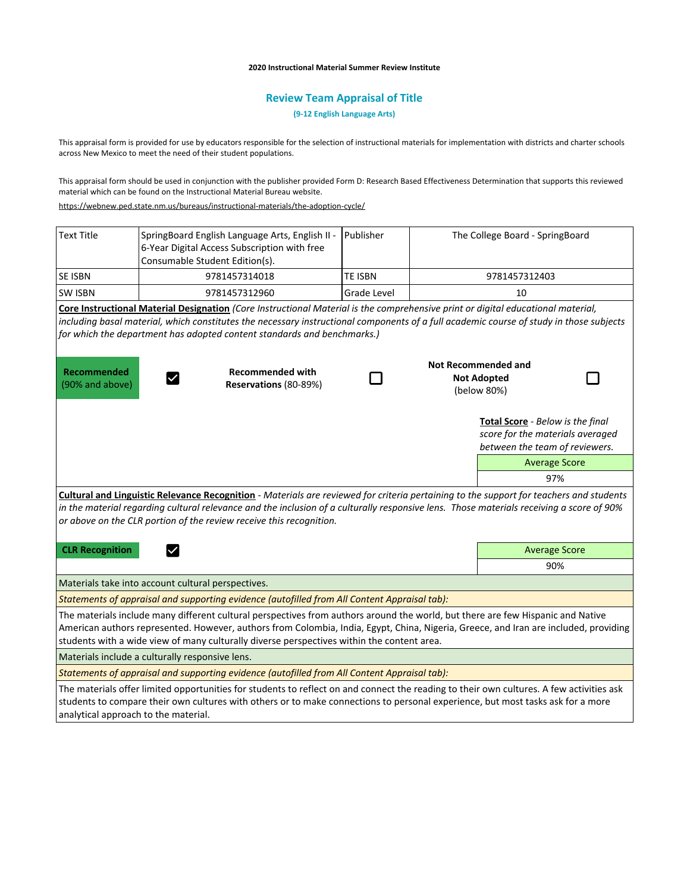#### **2020 Instructional Material Summer Review Institute**

# **Review Team Appraisal of Title**

**(9-12 English Language Arts)**

This appraisal form is provided for use by educators responsible for the selection of instructional materials for implementation with districts and charter schools across New Mexico to meet the need of their student populations.

This appraisal form should be used in conjunction with the publisher provided Form D: Research Based Effectiveness Determination that supports this reviewed material which can be found on the Instructional Material Bureau website.

<https://webnew.ped.state.nm.us/bureaus/instructional-materials/the-adoption-cycle/>

| <b>Text Title</b>                                                                                                                                                                                                                                                                                                                                                     | SpringBoard English Language Arts, English II -<br>6-Year Digital Access Subscription with free<br>Consumable Student Edition(s). | Publisher      |                                                                 | The College Board - SpringBoard                                                                        |  |  |
|-----------------------------------------------------------------------------------------------------------------------------------------------------------------------------------------------------------------------------------------------------------------------------------------------------------------------------------------------------------------------|-----------------------------------------------------------------------------------------------------------------------------------|----------------|-----------------------------------------------------------------|--------------------------------------------------------------------------------------------------------|--|--|
| <b>SE ISBN</b>                                                                                                                                                                                                                                                                                                                                                        | 9781457314018                                                                                                                     | <b>TE ISBN</b> |                                                                 | 9781457312403                                                                                          |  |  |
| <b>SW ISBN</b>                                                                                                                                                                                                                                                                                                                                                        | 9781457312960                                                                                                                     | Grade Level    |                                                                 | 10                                                                                                     |  |  |
| Core Instructional Material Designation (Core Instructional Material is the comprehensive print or digital educational material,                                                                                                                                                                                                                                      |                                                                                                                                   |                |                                                                 |                                                                                                        |  |  |
| including basal material, which constitutes the necessary instructional components of a full academic course of study in those subjects                                                                                                                                                                                                                               |                                                                                                                                   |                |                                                                 |                                                                                                        |  |  |
| for which the department has adopted content standards and benchmarks.)                                                                                                                                                                                                                                                                                               |                                                                                                                                   |                |                                                                 |                                                                                                        |  |  |
| <b>Recommended</b><br>(90% and above)                                                                                                                                                                                                                                                                                                                                 | <b>Recommended with</b><br>Reservations (80-89%)                                                                                  |                | <b>Not Recommended and</b><br><b>Not Adopted</b><br>(below 80%) |                                                                                                        |  |  |
|                                                                                                                                                                                                                                                                                                                                                                       |                                                                                                                                   |                |                                                                 | Total Score - Below is the final<br>score for the materials averaged<br>between the team of reviewers. |  |  |
|                                                                                                                                                                                                                                                                                                                                                                       |                                                                                                                                   |                |                                                                 | <b>Average Score</b>                                                                                   |  |  |
|                                                                                                                                                                                                                                                                                                                                                                       |                                                                                                                                   |                |                                                                 | 97%                                                                                                    |  |  |
| Cultural and Linguistic Relevance Recognition - Materials are reviewed for criteria pertaining to the support for teachers and students<br>in the material regarding cultural relevance and the inclusion of a culturally responsive lens. Those materials receiving a score of 90%<br>or above on the CLR portion of the review receive this recognition.            |                                                                                                                                   |                |                                                                 |                                                                                                        |  |  |
| <b>CLR Recognition</b>                                                                                                                                                                                                                                                                                                                                                |                                                                                                                                   |                |                                                                 | <b>Average Score</b>                                                                                   |  |  |
|                                                                                                                                                                                                                                                                                                                                                                       |                                                                                                                                   |                |                                                                 | 90%                                                                                                    |  |  |
| Materials take into account cultural perspectives.                                                                                                                                                                                                                                                                                                                    |                                                                                                                                   |                |                                                                 |                                                                                                        |  |  |
| Statements of appraisal and supporting evidence (autofilled from All Content Appraisal tab):                                                                                                                                                                                                                                                                          |                                                                                                                                   |                |                                                                 |                                                                                                        |  |  |
| The materials include many different cultural perspectives from authors around the world, but there are few Hispanic and Native<br>American authors represented. However, authors from Colombia, India, Egypt, China, Nigeria, Greece, and Iran are included, providing<br>students with a wide view of many culturally diverse perspectives within the content area. |                                                                                                                                   |                |                                                                 |                                                                                                        |  |  |
| Materials include a culturally responsive lens.                                                                                                                                                                                                                                                                                                                       |                                                                                                                                   |                |                                                                 |                                                                                                        |  |  |
| Statements of appraisal and supporting evidence (autofilled from All Content Appraisal tab):                                                                                                                                                                                                                                                                          |                                                                                                                                   |                |                                                                 |                                                                                                        |  |  |
| The materials offer limited opportunities for students to reflect on and connect the reading to their own cultures. A few activities ask<br>students to compare their own cultures with others or to make connections to personal experience, but most tasks ask for a more                                                                                           |                                                                                                                                   |                |                                                                 |                                                                                                        |  |  |

analytical approach to the material.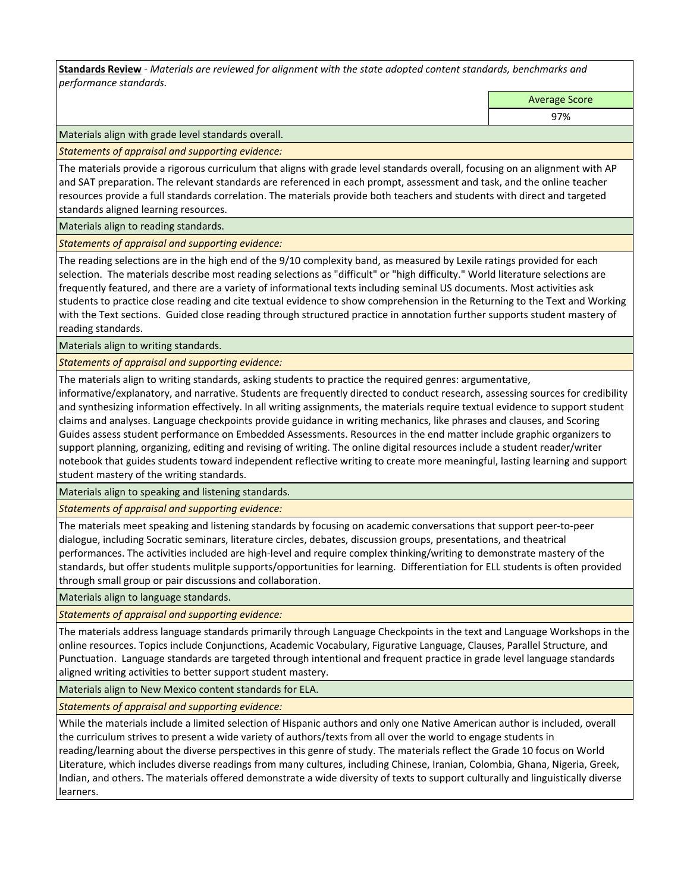**Standards Review** *- Materials are reviewed for alignment with the state adopted content standards, benchmarks and performance standards.*

Average Score

97%

Materials align with grade level standards overall.

*Statements of appraisal and supporting evidence:* 

The materials provide a rigorous curriculum that aligns with grade level standards overall, focusing on an alignment with AP and SAT preparation. The relevant standards are referenced in each prompt, assessment and task, and the online teacher resources provide a full standards correlation. The materials provide both teachers and students with direct and targeted standards aligned learning resources.

Materials align to reading standards.

*Statements of appraisal and supporting evidence:* 

The reading selections are in the high end of the 9/10 complexity band, as measured by Lexile ratings provided for each selection. The materials describe most reading selections as "difficult" or "high difficulty." World literature selections are frequently featured, and there are a variety of informational texts including seminal US documents. Most activities ask students to practice close reading and cite textual evidence to show comprehension in the Returning to the Text and Working with the Text sections. Guided close reading through structured practice in annotation further supports student mastery of reading standards.

Materials align to writing standards.

*Statements of appraisal and supporting evidence:* 

The materials align to writing standards, asking students to practice the required genres: argumentative,

informative/explanatory, and narrative. Students are frequently directed to conduct research, assessing sources for credibility and synthesizing information effectively. In all writing assignments, the materials require textual evidence to support student claims and analyses. Language checkpoints provide guidance in writing mechanics, like phrases and clauses, and Scoring Guides assess student performance on Embedded Assessments. Resources in the end matter include graphic organizers to support planning, organizing, editing and revising of writing. The online digital resources include a student reader/writer notebook that guides students toward independent reflective writing to create more meaningful, lasting learning and support student mastery of the writing standards.

Materials align to speaking and listening standards.

*Statements of appraisal and supporting evidence:* 

The materials meet speaking and listening standards by focusing on academic conversations that support peer-to-peer dialogue, including Socratic seminars, literature circles, debates, discussion groups, presentations, and theatrical performances. The activities included are high-level and require complex thinking/writing to demonstrate mastery of the standards, but offer students mulitple supports/opportunities for learning. Differentiation for ELL students is often provided through small group or pair discussions and collaboration.

Materials align to language standards.

*Statements of appraisal and supporting evidence:* 

The materials address language standards primarily through Language Checkpoints in the text and Language Workshops in the online resources. Topics include Conjunctions, Academic Vocabulary, Figurative Language, Clauses, Parallel Structure, and Punctuation. Language standards are targeted through intentional and frequent practice in grade level language standards aligned writing activities to better support student mastery.

Materials align to New Mexico content standards for ELA.

*Statements of appraisal and supporting evidence:* 

While the materials include a limited selection of Hispanic authors and only one Native American author is included, overall the curriculum strives to present a wide variety of authors/texts from all over the world to engage students in reading/learning about the diverse perspectives in this genre of study. The materials reflect the Grade 10 focus on World Literature, which includes diverse readings from many cultures, including Chinese, Iranian, Colombia, Ghana, Nigeria, Greek, Indian, and others. The materials offered demonstrate a wide diversity of texts to support culturally and linguistically diverse learners.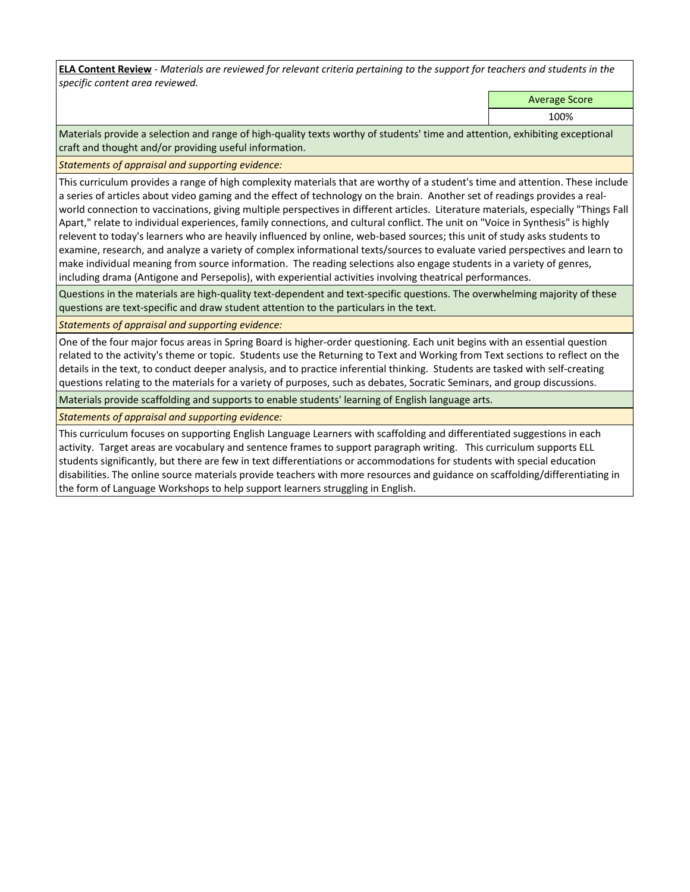**ELA Content Review** *- Materials are reviewed for relevant criteria pertaining to the support for teachers and students in the specific content area reviewed.*

Average Score

100%

Materials provide a selection and range of high-quality texts worthy of students' time and attention, exhibiting exceptional craft and thought and/or providing useful information.

*Statements of appraisal and supporting evidence:* 

This curriculum provides a range of high complexity materials that are worthy of a student's time and attention. These include a series of articles about video gaming and the effect of technology on the brain. Another set of readings provides a realworld connection to vaccinations, giving multiple perspectives in different articles. Literature materials, especially "Things Fall Apart," relate to individual experiences, family connections, and cultural conflict. The unit on "Voice in Synthesis" is highly relevent to today's learners who are heavily influenced by online, web-based sources; this unit of study asks students to examine, research, and analyze a variety of complex informational texts/sources to evaluate varied perspectives and learn to make individual meaning from source information. The reading selections also engage students in a variety of genres, including drama (Antigone and Persepolis), with experiential activities involving theatrical performances.

Questions in the materials are high-quality text-dependent and text-specific questions. The overwhelming majority of these questions are text-specific and draw student attention to the particulars in the text.

*Statements of appraisal and supporting evidence:* 

One of the four major focus areas in Spring Board is higher-order questioning. Each unit begins with an essential question related to the activity's theme or topic. Students use the Returning to Text and Working from Text sections to reflect on the details in the text, to conduct deeper analysis, and to practice inferential thinking. Students are tasked with self-creating questions relating to the materials for a variety of purposes, such as debates, Socratic Seminars, and group discussions.

Materials provide scaffolding and supports to enable students' learning of English language arts.

*Statements of appraisal and supporting evidence:* 

This curriculum focuses on supporting English Language Learners with scaffolding and differentiated suggestions in each activity. Target areas are vocabulary and sentence frames to support paragraph writing. This curriculum supports ELL students significantly, but there are few in text differentiations or accommodations for students with special education disabilities. The online source materials provide teachers with more resources and guidance on scaffolding/differentiating in the form of Language Workshops to help support learners struggling in English.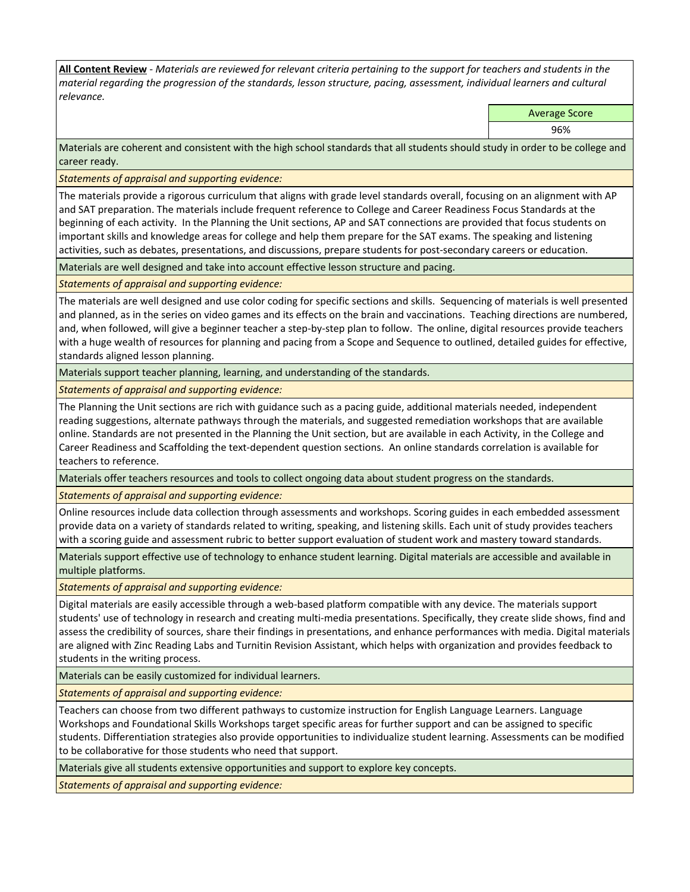**All Content Review** *- Materials are reviewed for relevant criteria pertaining to the support for teachers and students in the material regarding the progression of the standards, lesson structure, pacing, assessment, individual learners and cultural relevance.*

Average Score

96%

Materials are coherent and consistent with the high school standards that all students should study in order to be college and career ready.

*Statements of appraisal and supporting evidence:*

The materials provide a rigorous curriculum that aligns with grade level standards overall, focusing on an alignment with AP and SAT preparation. The materials include frequent reference to College and Career Readiness Focus Standards at the beginning of each activity. In the Planning the Unit sections, AP and SAT connections are provided that focus students on important skills and knowledge areas for college and help them prepare for the SAT exams. The speaking and listening activities, such as debates, presentations, and discussions, prepare students for post-secondary careers or education.

Materials are well designed and take into account effective lesson structure and pacing.

*Statements of appraisal and supporting evidence:*

The materials are well designed and use color coding for specific sections and skills. Sequencing of materials is well presented and planned, as in the series on video games and its effects on the brain and vaccinations. Teaching directions are numbered, and, when followed, will give a beginner teacher a step-by-step plan to follow. The online, digital resources provide teachers with a huge wealth of resources for planning and pacing from a Scope and Sequence to outlined, detailed guides for effective, standards aligned lesson planning.

Materials support teacher planning, learning, and understanding of the standards.

*Statements of appraisal and supporting evidence:*

The Planning the Unit sections are rich with guidance such as a pacing guide, additional materials needed, independent reading suggestions, alternate pathways through the materials, and suggested remediation workshops that are available online. Standards are not presented in the Planning the Unit section, but are available in each Activity, in the College and Career Readiness and Scaffolding the text-dependent question sections. An online standards correlation is available for teachers to reference.

Materials offer teachers resources and tools to collect ongoing data about student progress on the standards.

*Statements of appraisal and supporting evidence:*

Online resources include data collection through assessments and workshops. Scoring guides in each embedded assessment provide data on a variety of standards related to writing, speaking, and listening skills. Each unit of study provides teachers with a scoring guide and assessment rubric to better support evaluation of student work and mastery toward standards.

Materials support effective use of technology to enhance student learning. Digital materials are accessible and available in multiple platforms.

*Statements of appraisal and supporting evidence:*

Digital materials are easily accessible through a web-based platform compatible with any device. The materials support students' use of technology in research and creating multi-media presentations. Specifically, they create slide shows, find and assess the credibility of sources, share their findings in presentations, and enhance performances with media. Digital materials are aligned with Zinc Reading Labs and Turnitin Revision Assistant, which helps with organization and provides feedback to students in the writing process.

Materials can be easily customized for individual learners.

*Statements of appraisal and supporting evidence:* 

Teachers can choose from two different pathways to customize instruction for English Language Learners. Language Workshops and Foundational Skills Workshops target specific areas for further support and can be assigned to specific students. Differentiation strategies also provide opportunities to individualize student learning. Assessments can be modified to be collaborative for those students who need that support.

Materials give all students extensive opportunities and support to explore key concepts.

*Statements of appraisal and supporting evidence:*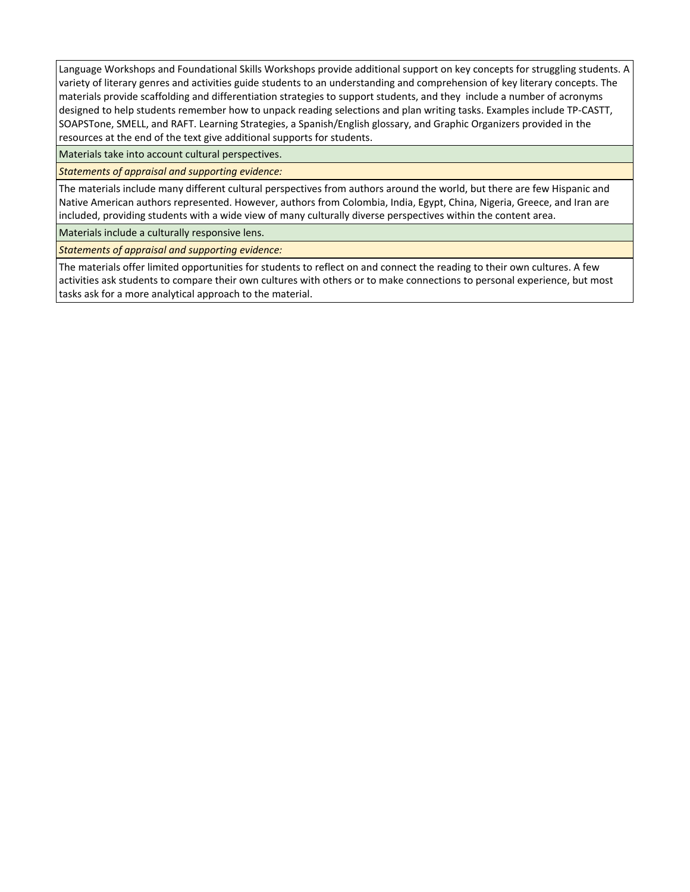Language Workshops and Foundational Skills Workshops provide additional support on key concepts for struggling students. A variety of literary genres and activities guide students to an understanding and comprehension of key literary concepts. The materials provide scaffolding and differentiation strategies to support students, and they include a number of acronyms designed to help students remember how to unpack reading selections and plan writing tasks. Examples include TP-CASTT, SOAPSTone, SMELL, and RAFT. Learning Strategies, a Spanish/English glossary, and Graphic Organizers provided in the resources at the end of the text give additional supports for students.

Materials take into account cultural perspectives.

*Statements of appraisal and supporting evidence:*

The materials include many different cultural perspectives from authors around the world, but there are few Hispanic and Native American authors represented. However, authors from Colombia, India, Egypt, China, Nigeria, Greece, and Iran are included, providing students with a wide view of many culturally diverse perspectives within the content area.

Materials include a culturally responsive lens.

*Statements of appraisal and supporting evidence:*

The materials offer limited opportunities for students to reflect on and connect the reading to their own cultures. A few activities ask students to compare their own cultures with others or to make connections to personal experience, but most tasks ask for a more analytical approach to the material.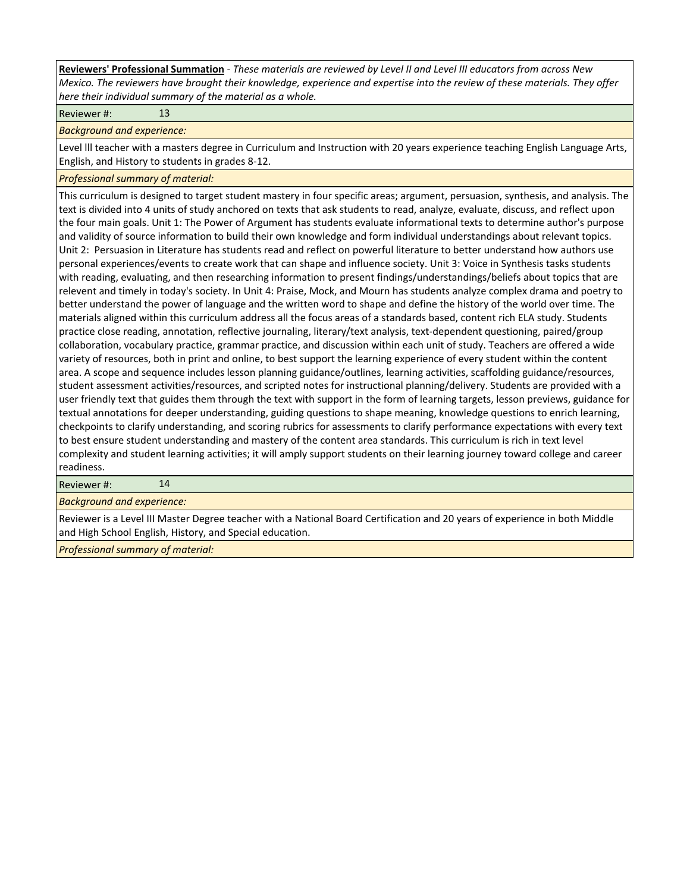**Reviewers' Professional Summation** *- These materials are reviewed by Level II and Level III educators from across New Mexico. The reviewers have brought their knowledge, experience and expertise into the review of these materials. They offer here their individual summary of the material as a whole.*

Reviewer #: 13

*Background and experience:*

Level lll teacher with a masters degree in Curriculum and Instruction with 20 years experience teaching English Language Arts, English, and History to students in grades 8-12.

*Professional summary of material:*

This curriculum is designed to target student mastery in four specific areas; argument, persuasion, synthesis, and analysis. The text is divided into 4 units of study anchored on texts that ask students to read, analyze, evaluate, discuss, and reflect upon the four main goals. Unit 1: The Power of Argument has students evaluate informational texts to determine author's purpose and validity of source information to build their own knowledge and form individual understandings about relevant topics. Unit 2: Persuasion in Literature has students read and reflect on powerful literature to better understand how authors use personal experiences/events to create work that can shape and influence society. Unit 3: Voice in Synthesis tasks students with reading, evaluating, and then researching information to present findings/understandings/beliefs about topics that are relevent and timely in today's society. In Unit 4: Praise, Mock, and Mourn has students analyze complex drama and poetry to better understand the power of language and the written word to shape and define the history of the world over time. The materials aligned within this curriculum address all the focus areas of a standards based, content rich ELA study. Students practice close reading, annotation, reflective journaling, literary/text analysis, text-dependent questioning, paired/group collaboration, vocabulary practice, grammar practice, and discussion within each unit of study. Teachers are offered a wide variety of resources, both in print and online, to best support the learning experience of every student within the content area. A scope and sequence includes lesson planning guidance/outlines, learning activities, scaffolding guidance/resources, student assessment activities/resources, and scripted notes for instructional planning/delivery. Students are provided with a user friendly text that guides them through the text with support in the form of learning targets, lesson previews, guidance for textual annotations for deeper understanding, guiding questions to shape meaning, knowledge questions to enrich learning, checkpoints to clarify understanding, and scoring rubrics for assessments to clarify performance expectations with every text to best ensure student understanding and mastery of the content area standards. This curriculum is rich in text level complexity and student learning activities; it will amply support students on their learning journey toward college and career readiness.

Reviewer #: 14

*Background and experience:*

Reviewer is a Level III Master Degree teacher with a National Board Certification and 20 years of experience in both Middle and High School English, History, and Special education.

*Professional summary of material:*